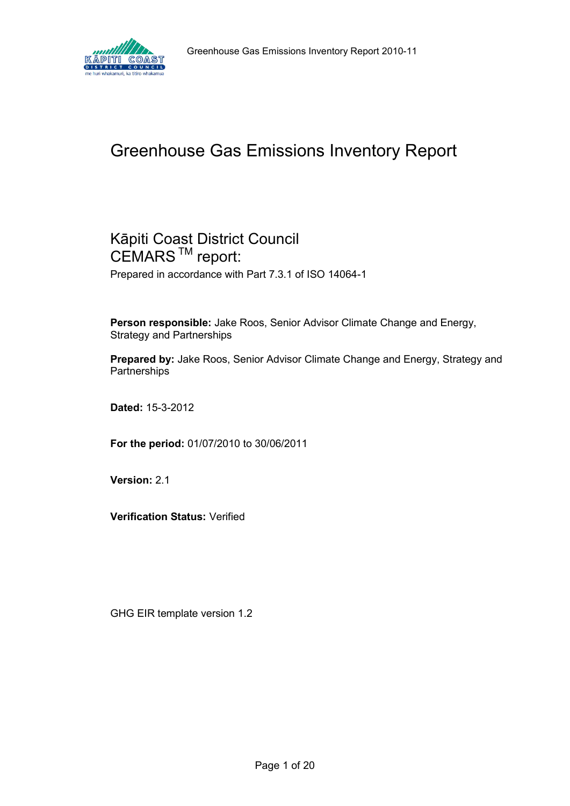

# Greenhouse Gas Emissions Inventory Report

# Kāpiti Coast District Council CEMARS<sup>™</sup> report:

Prepared in accordance with Part 7.3.1 of ISO 14064-1

**Person responsible:** Jake Roos, Senior Advisor Climate Change and Energy, Strategy and Partnerships

**Prepared by:** Jake Roos, Senior Advisor Climate Change and Energy, Strategy and **Partnerships** 

**Dated:** 15-3-2012

**For the period:** 01/07/2010 to 30/06/2011

**Version:** 2.1

**Verification Status:** Verified

GHG EIR template version 1.2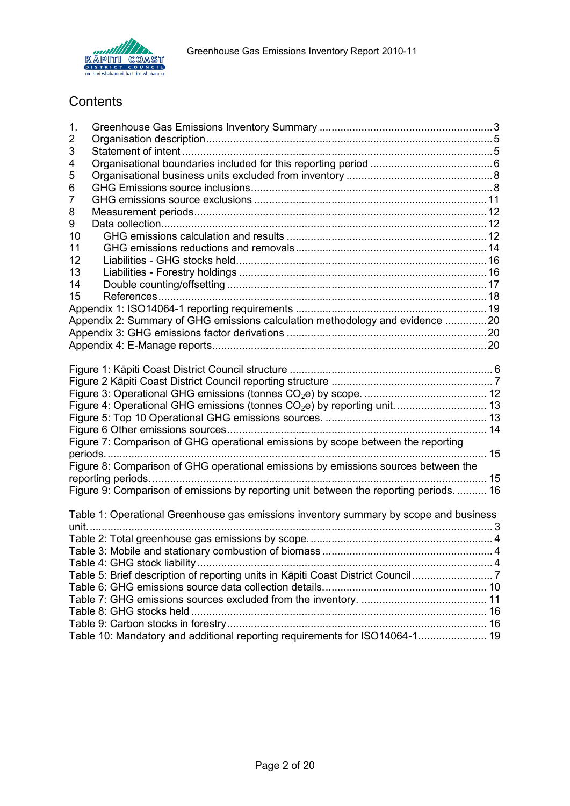

# **Contents**

| 1. |                                                                                        |  |
|----|----------------------------------------------------------------------------------------|--|
| 2  |                                                                                        |  |
| 3  |                                                                                        |  |
| 4  |                                                                                        |  |
| 5  |                                                                                        |  |
| 6  |                                                                                        |  |
| 7  |                                                                                        |  |
| 8  |                                                                                        |  |
| 9  |                                                                                        |  |
| 10 |                                                                                        |  |
| 11 |                                                                                        |  |
| 12 |                                                                                        |  |
| 13 |                                                                                        |  |
| 14 |                                                                                        |  |
| 15 |                                                                                        |  |
|    |                                                                                        |  |
|    | Appendix 2: Summary of GHG emissions calculation methodology and evidence 20           |  |
|    |                                                                                        |  |
|    |                                                                                        |  |
|    |                                                                                        |  |
|    |                                                                                        |  |
|    |                                                                                        |  |
|    | Figure 4: Operational GHG emissions (tonnes CO <sub>2</sub> e) by reporting unit.  13  |  |
|    |                                                                                        |  |
|    |                                                                                        |  |
|    | Figure 7: Comparison of GHG operational emissions by scope between the reporting       |  |
|    |                                                                                        |  |
|    | Figure 8: Comparison of GHG operational emissions by emissions sources between the     |  |
|    |                                                                                        |  |
|    | Figure 9: Comparison of emissions by reporting unit between the reporting periods.  16 |  |
|    |                                                                                        |  |
|    | Table 1: Operational Greenhouse gas emissions inventory summary by scope and business  |  |
|    |                                                                                        |  |
|    |                                                                                        |  |
|    |                                                                                        |  |
|    |                                                                                        |  |
|    | Table 5: Brief description of reporting units in Kāpiti Coast District Council 7       |  |
|    |                                                                                        |  |
|    |                                                                                        |  |
|    |                                                                                        |  |
|    |                                                                                        |  |
|    | Table 10: Mandatory and additional reporting requirements for ISO14064-1 19            |  |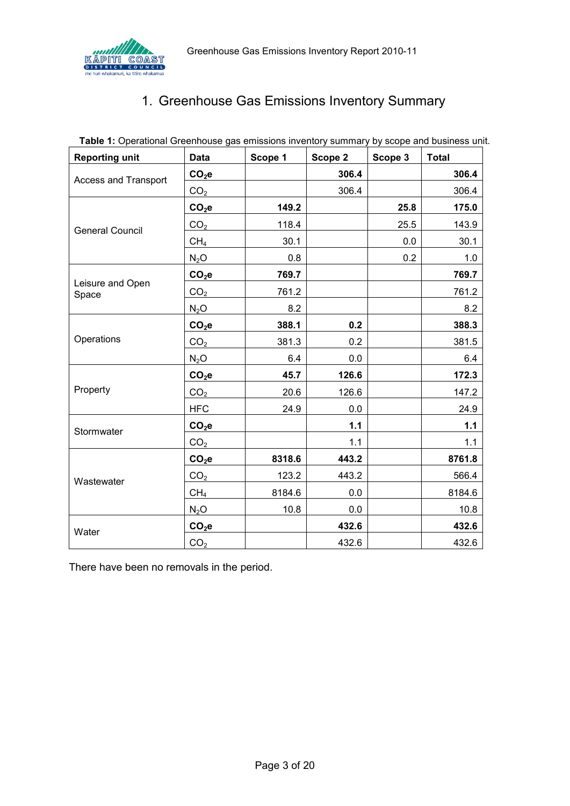<span id="page-2-0"></span>

# 1. Greenhouse Gas Emissions Inventory Summary

| <b>Reporting unit</b>       | <b>Data</b>       | Scope 1 | Scope 2 | Scope 3 | <b>Total</b> |
|-----------------------------|-------------------|---------|---------|---------|--------------|
| <b>Access and Transport</b> | $CO2$ e           |         | 306.4   |         | 306.4        |
|                             | CO <sub>2</sub>   |         | 306.4   |         | 306.4        |
|                             | $CO2$ e           | 149.2   |         | 25.8    | 175.0        |
| <b>General Council</b>      | CO <sub>2</sub>   | 118.4   |         | 25.5    | 143.9        |
|                             | CH <sub>4</sub>   | 30.1    |         | 0.0     | 30.1         |
|                             | $N_2O$            | 0.8     |         | 0.2     | 1.0          |
|                             | $CO2$ e           | 769.7   |         |         | 769.7        |
| Leisure and Open<br>Space   | CO <sub>2</sub>   | 761.2   |         |         | 761.2        |
|                             | $N_2O$            | 8.2     |         |         | 8.2          |
|                             | $CO2$ e           | 388.1   | 0.2     |         | 388.3        |
| Operations                  | CO <sub>2</sub>   | 381.3   | 0.2     |         | 381.5        |
|                             | $N_2O$            | 6.4     | 0.0     |         | 6.4          |
|                             | CO <sub>2</sub> e | 45.7    | 126.6   |         | 172.3        |
| Property                    | CO <sub>2</sub>   | 20.6    | 126.6   |         | 147.2        |
|                             | <b>HFC</b>        | 24.9    | 0.0     |         | 24.9         |
| Stormwater                  | $CO2$ e           |         | $1.1$   |         | 1.1          |
|                             | CO <sub>2</sub>   |         | 1.1     |         | 1.1          |
|                             | $CO2$ e           | 8318.6  | 443.2   |         | 8761.8       |
| Wastewater                  | CO <sub>2</sub>   | 123.2   | 443.2   |         | 566.4        |
|                             | CH <sub>4</sub>   | 8184.6  | 0.0     |         | 8184.6       |
|                             | $N_2O$            | 10.8    | 0.0     |         | 10.8         |
| Water                       | $CO2$ e           |         | 432.6   |         | 432.6        |
|                             | CO <sub>2</sub>   |         | 432.6   |         | 432.6        |

<span id="page-2-1"></span>**Table 1:** Operational Greenhouse gas emissions inventory summary by scope and business unit.

There have been no removals in the period.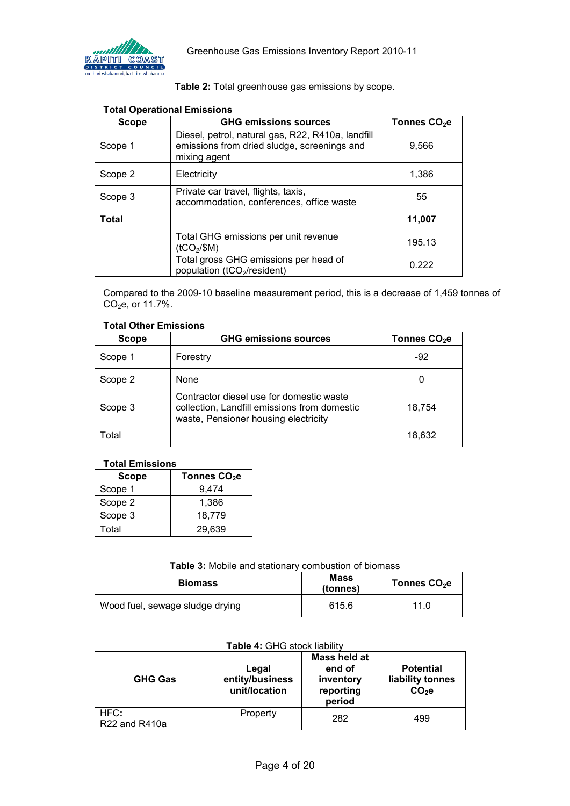

|  |  | Table 2: Total greenhouse gas emissions by scope. |  |  |  |
|--|--|---------------------------------------------------|--|--|--|
|--|--|---------------------------------------------------|--|--|--|

<span id="page-3-0"></span>

| <b>Scope</b> | <b>GHG emissions sources</b>                                                                                     | Tonnes CO <sub>2</sub> e |
|--------------|------------------------------------------------------------------------------------------------------------------|--------------------------|
| Scope 1      | Diesel, petrol, natural gas, R22, R410a, landfill<br>emissions from dried sludge, screenings and<br>mixing agent | 9,566                    |
| Scope 2      | Electricity                                                                                                      | 1,386                    |
| Scope 3      | Private car travel, flights, taxis,<br>accommodation, conferences, office waste                                  | 55                       |
| <b>Total</b> |                                                                                                                  | 11,007                   |
|              | Total GHG emissions per unit revenue<br>$($ tCO <sub>2</sub> /\$M)                                               | 195.13                   |
|              | Total gross GHG emissions per head of<br>population (tCO <sub>2</sub> /resident)                                 | 0.222                    |

#### **Total Operational Emissions**

Compared to the 2009-10 baseline measurement period, this is a decrease of 1,459 tonnes of CO2e, or 11.7%.

#### **Total Other Emissions**

| <b>Scope</b> | <b>GHG emissions sources</b>                                                                                                     | Tonnes CO <sub>2</sub> e |
|--------------|----------------------------------------------------------------------------------------------------------------------------------|--------------------------|
| Scope 1      | Forestry                                                                                                                         | -92                      |
| Scope 2      | <b>None</b>                                                                                                                      | U                        |
| Scope 3      | Contractor diesel use for domestic waste<br>collection, Landfill emissions from domestic<br>waste, Pensioner housing electricity | 18,754                   |
| Total        |                                                                                                                                  | 18,632                   |

#### **Total Emissions**

| <b>Scope</b> | Tonnes CO <sub>2</sub> e |
|--------------|--------------------------|
| Scope 1      | 9.474                    |
| Scope 2      | 1,386                    |
| Scope 3      | 18,779                   |
| Total        | 29,639                   |

#### **Table 3:** Mobile and stationary combustion of biomass

<span id="page-3-1"></span>

| <b>Biomass</b>                  | <b>Mass</b><br>(tonnes) | Tonnes $CO2e$ |
|---------------------------------|-------------------------|---------------|
| Wood fuel, sewage sludge drying | 615.6                   | 11.0          |

#### **Table 4:** GHG stock liability

<span id="page-3-2"></span>

| <b>GHG Gas</b>                                 | Legal<br>entity/business<br>unit/location | Mass held at<br>end of<br>inventory<br>reporting<br>period | <b>Potential</b><br>liability tonnes<br>$CO2$ e |
|------------------------------------------------|-------------------------------------------|------------------------------------------------------------|-------------------------------------------------|
| HFC:<br>R <sub>22</sub> and R <sub>410</sub> a | Property                                  | 282                                                        | 499                                             |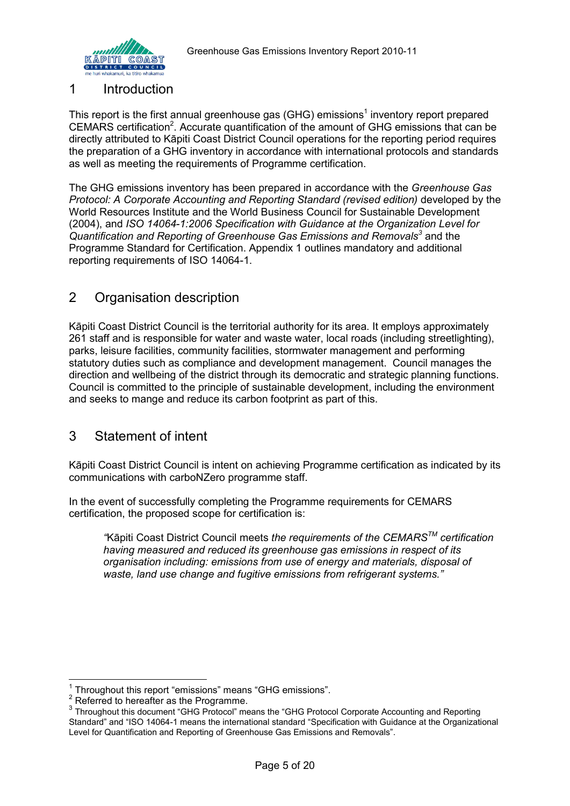

#### 1 Introduction

This report is the first annual greenhouse gas (GHG) emissions<sup>1</sup> inventory report prepared CEMARS certification<sup>2</sup>. Accurate quantification of the amount of GHG emissions that can be directly attributed to Kāpiti Coast District Council operations for the reporting period requires the preparation of a GHG inventory in accordance with international protocols and standards as well as meeting the requirements of Programme certification.

The GHG emissions inventory has been prepared in accordance with the *Greenhouse Gas Protocol: A Corporate Accounting and Reporting Standard (revised edition)* developed by the World Resources Institute and the World Business Council for Sustainable Development (2004), and *ISO 14064-1:2006 Specification with Guidance at the Organization Level for Quantification and Reporting of Greenhouse Gas Emissions and Removals<sup>3</sup>* and the Programme Standard for Certification. Appendix 1 outlines mandatory and additional reporting requirements of ISO 14064-1.

### <span id="page-4-0"></span>2 Organisation description

Kāpiti Coast District Council is the territorial authority for its area. It employs approximately 261 staff and is responsible for water and waste water, local roads (including streetlighting), parks, leisure facilities, community facilities, stormwater management and performing statutory duties such as compliance and development management. Council manages the direction and wellbeing of the district through its democratic and strategic planning functions. Council is committed to the principle of sustainable development, including the environment and seeks to mange and reduce its carbon footprint as part of this.

## <span id="page-4-1"></span>3 Statement of intent

Kāpiti Coast District Council is intent on achieving Programme certification as indicated by its communications with carboNZero programme staff.

In the event of successfully completing the Programme requirements for CEMARS certification, the proposed scope for certification is:

*"*Kāpiti Coast District Council meets *the requirements of the CEMARSTM certification having measured and reduced its greenhouse gas emissions in respect of its organisation including: emissions from use of energy and materials, disposal of waste, land use change and fugitive emissions from refrigerant systems."*

 1 Throughout this report "emissions" means "GHG emissions".

 $2^2$  Referred to hereafter as the Programme.

<sup>&</sup>lt;sup>3</sup> Throughout this document "GHG Protocol" means the "GHG Protocol Corporate Accounting and Reporting Standard" and "ISO 14064-1 means the international standard "Specification with Guidance at the Organizational Level for Quantification and Reporting of Greenhouse Gas Emissions and Removals".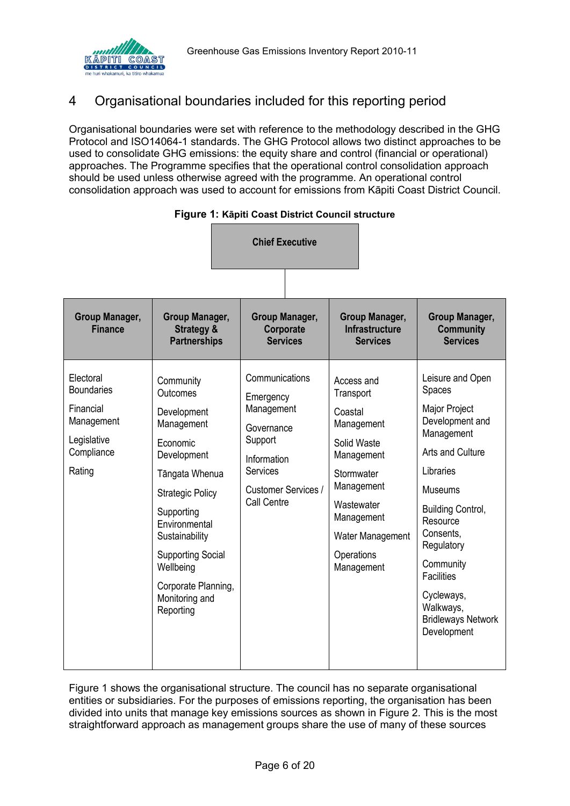

# <span id="page-5-0"></span>4 Organisational boundaries included for this reporting period

Organisational boundaries were set with reference to the methodology described in the GHG Protocol and ISO14064-1 standards. The GHG Protocol allows two distinct approaches to be used to consolidate GHG emissions: the equity share and control (financial or operational) approaches. The Programme specifies that the operational control consolidation approach should be used unless otherwise agreed with the programme. An operational control consolidation approach was used to account for emissions from Kāpiti Coast District Council.

<span id="page-5-1"></span>

|                                                                                                  |                                                                                                                                                                                                                                                                            | <b>Chief Executive</b>                                                                                                                     |                                                                                                                                                                                       |                                                                                                                                                                                                                                                                                                             |
|--------------------------------------------------------------------------------------------------|----------------------------------------------------------------------------------------------------------------------------------------------------------------------------------------------------------------------------------------------------------------------------|--------------------------------------------------------------------------------------------------------------------------------------------|---------------------------------------------------------------------------------------------------------------------------------------------------------------------------------------|-------------------------------------------------------------------------------------------------------------------------------------------------------------------------------------------------------------------------------------------------------------------------------------------------------------|
|                                                                                                  |                                                                                                                                                                                                                                                                            |                                                                                                                                            |                                                                                                                                                                                       |                                                                                                                                                                                                                                                                                                             |
| Group Manager,<br><b>Finance</b>                                                                 | Group Manager,<br><b>Strategy &amp;</b><br><b>Partnerships</b>                                                                                                                                                                                                             | <b>Group Manager,</b><br>Corporate<br><b>Services</b>                                                                                      | Group Manager,<br><b>Infrastructure</b><br><b>Services</b>                                                                                                                            | <b>Group Manager,</b><br><b>Community</b><br><b>Services</b>                                                                                                                                                                                                                                                |
| Electoral<br><b>Boundaries</b><br>Financial<br>Management<br>Legislative<br>Compliance<br>Rating | Community<br>Outcomes<br>Development<br>Management<br>Economic<br>Development<br>Tāngata Whenua<br><b>Strategic Policy</b><br>Supporting<br>Environmental<br>Sustainability<br><b>Supporting Social</b><br>Wellbeing<br>Corporate Planning,<br>Monitoring and<br>Reporting | Communications<br>Emergency<br>Management<br>Governance<br>Support<br>Information<br><b>Services</b><br>Customer Services /<br>Call Centre | Access and<br>Transport<br>Coastal<br>Management<br>Solid Waste<br>Management<br>Stormwater<br>Management<br>Wastewater<br>Management<br>Water Management<br>Operations<br>Management | Leisure and Open<br>Spaces<br>Major Project<br>Development and<br>Management<br>Arts and Culture<br>Libraries<br><b>Museums</b><br><b>Building Control,</b><br>Resource<br>Consents,<br>Regulatory<br>Community<br><b>Facilities</b><br>Cycleways,<br>Walkways,<br><b>Bridleways Network</b><br>Development |
|                                                                                                  |                                                                                                                                                                                                                                                                            |                                                                                                                                            |                                                                                                                                                                                       |                                                                                                                                                                                                                                                                                                             |

| Figure 1: Kāpiti Coast District Council structure |  |  |  |  |  |
|---------------------------------------------------|--|--|--|--|--|
|---------------------------------------------------|--|--|--|--|--|

[Figure 1](#page-5-1) shows the organisational structure. The council has no separate organisational entities or subsidiaries. For the purposes of emissions reporting, the organisation has been divided into units that manage key emissions sources as shown in Figure 2. This is the most straightforward approach as management groups share the use of many of these sources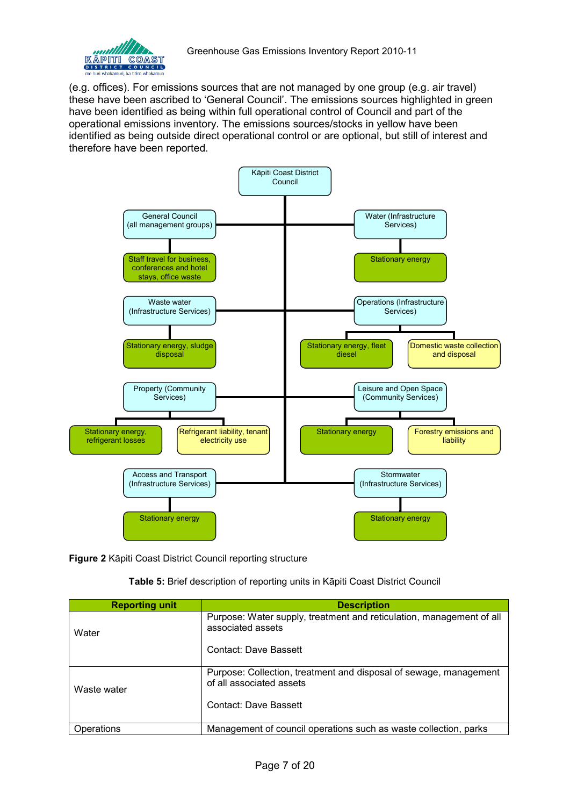

(e.g. offices). For emissions sources that are not managed by one group (e.g. air travel) these have been ascribed to 'General Council'. The emissions sources highlighted in green have been identified as being within full operational control of Council and part of the operational emissions inventory. The emissions sources/stocks in yellow have been identified as being outside direct operational control or are optional, but still of interest and therefore have been reported.



<span id="page-6-0"></span>**Figure 2** Kāpiti Coast District Council reporting structure

**Table 5:** Brief description of reporting units in Kāpiti Coast District Council

<span id="page-6-1"></span>

| <b>Reporting unit</b> | <b>Description</b>                                                                            |
|-----------------------|-----------------------------------------------------------------------------------------------|
| Water                 | Purpose: Water supply, treatment and reticulation, management of all<br>associated assets     |
|                       | Contact: Dave Bassett                                                                         |
| Waste water           | Purpose: Collection, treatment and disposal of sewage, management<br>of all associated assets |
|                       | Contact: Dave Bassett                                                                         |
| Operations            | Management of council operations such as waste collection, parks                              |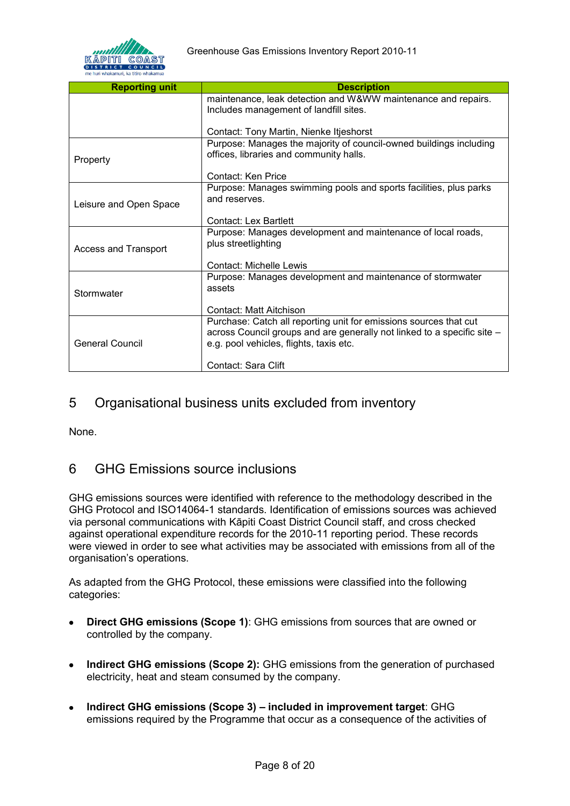

| <b>Reporting unit</b>       | <b>Description</b>                                                      |
|-----------------------------|-------------------------------------------------------------------------|
|                             |                                                                         |
|                             | maintenance, leak detection and W&WW maintenance and repairs.           |
|                             | Includes management of landfill sites.                                  |
|                             |                                                                         |
|                             | Contact: Tony Martin, Nienke Itjeshorst                                 |
|                             | Purpose: Manages the majority of council-owned buildings including      |
|                             | offices, libraries and community halls.                                 |
| Property                    |                                                                         |
|                             | Contact: Ken Price                                                      |
|                             | Purpose: Manages swimming pools and sports facilities, plus parks       |
|                             | and reserves.                                                           |
| Leisure and Open Space      |                                                                         |
|                             | Contact: Lex Bartlett                                                   |
|                             | Purpose: Manages development and maintenance of local roads,            |
|                             | plus streetlighting                                                     |
| <b>Access and Transport</b> |                                                                         |
|                             | <b>Contact: Michelle Lewis</b>                                          |
|                             |                                                                         |
|                             | Purpose: Manages development and maintenance of stormwater              |
| Stormwater                  | assets                                                                  |
|                             |                                                                         |
|                             | Contact: Matt Aitchison                                                 |
|                             | Purchase: Catch all reporting unit for emissions sources that cut       |
|                             | across Council groups and are generally not linked to a specific site - |
| <b>General Council</b>      | e.g. pool vehicles, flights, taxis etc.                                 |
|                             |                                                                         |
|                             | Contact: Sara Clift                                                     |

### <span id="page-7-0"></span>5 Organisational business units excluded from inventory

None.

### <span id="page-7-1"></span>6 GHG Emissions source inclusions

GHG emissions sources were identified with reference to the methodology described in the GHG Protocol and ISO14064-1 standards. Identification of emissions sources was achieved via personal communications with Kāpiti Coast District Council staff, and cross checked against operational expenditure records for the 2010-11 reporting period. These records were viewed in order to see what activities may be associated with emissions from all of the organisation's operations.

As adapted from the GHG Protocol, these emissions were classified into the following categories:

- **Direct GHG emissions (Scope 1)**: GHG emissions from sources that are owned or  $\bullet$ controlled by the company.
- **Indirect GHG emissions (Scope 2):** GHG emissions from the generation of purchased  $\bullet$ electricity, heat and steam consumed by the company.
- **Indirect GHG emissions (Scope 3) included in improvement target**: GHG  $\bullet$ emissions required by the Programme that occur as a consequence of the activities of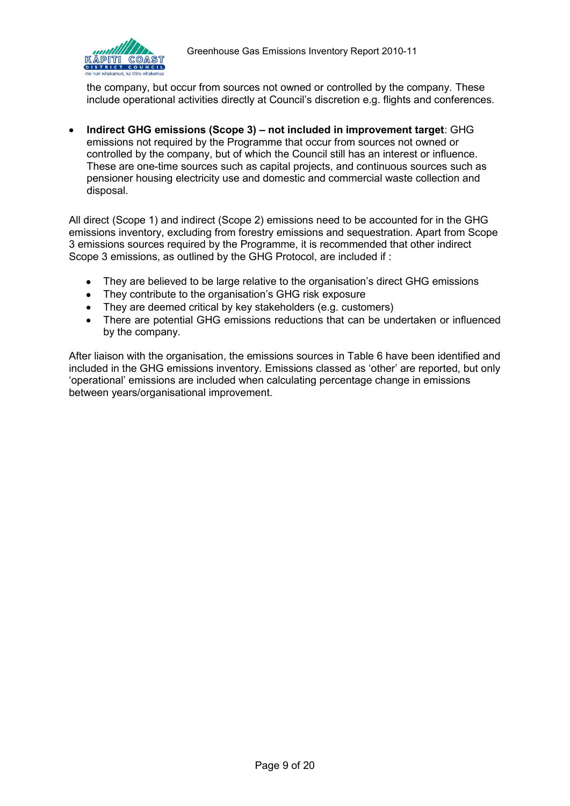

the company, but occur from sources not owned or controlled by the company. These include operational activities directly at Council's discretion e.g. flights and conferences.

**Indirect GHG emissions (Scope 3) – not included in improvement target**: GHG emissions not required by the Programme that occur from sources not owned or controlled by the company, but of which the Council still has an interest or influence. These are one-time sources such as capital projects, and continuous sources such as pensioner housing electricity use and domestic and commercial waste collection and disposal.

All direct (Scope 1) and indirect (Scope 2) emissions need to be accounted for in the GHG emissions inventory, excluding from forestry emissions and sequestration. Apart from Scope 3 emissions sources required by the Programme, it is recommended that other indirect Scope 3 emissions, as outlined by the GHG Protocol, are included if :

- They are believed to be large relative to the organisation's direct GHG emissions
- They contribute to the organisation's GHG risk exposure
- They are deemed critical by key stakeholders (e.g. customers)
- There are potential GHG emissions reductions that can be undertaken or influenced by the company.

After liaison with the organisation, the emissions sources in [Table 6](#page-9-0) have been identified and included in the GHG emissions inventory. Emissions classed as 'other' are reported, but only 'operational' emissions are included when calculating percentage change in emissions between years/organisational improvement.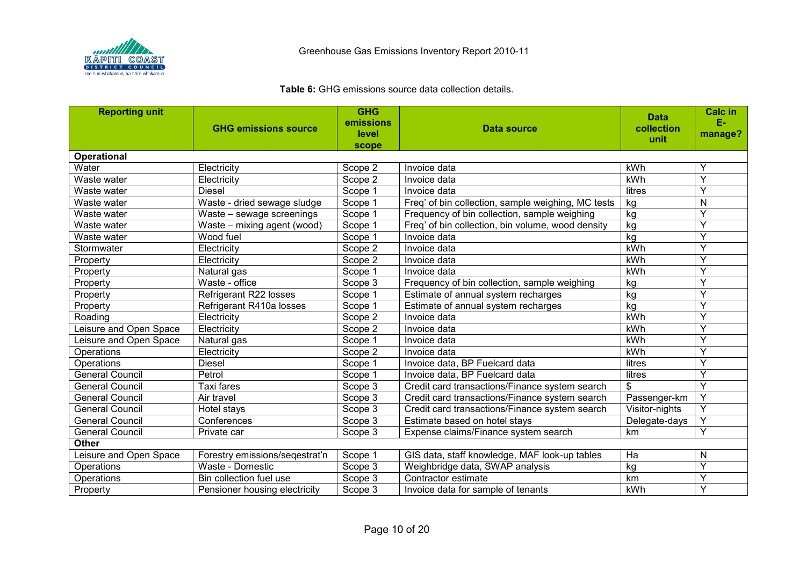

#### **Table 6:** GHG emissions source data collection details.

<span id="page-9-0"></span>

| <b>Reporting unit</b>  |                                | <b>GHG</b> |                                                    | <b>Data</b>    | <b>Calc in</b> |
|------------------------|--------------------------------|------------|----------------------------------------------------|----------------|----------------|
|                        | <b>GHG emissions source</b>    | emissions  | Data source                                        | collection     | Е.             |
|                        |                                | level      |                                                    | unit           | manage?        |
| <b>Operational</b>     |                                | scope      |                                                    |                |                |
| Water                  | Electricity                    | Scope 2    | Invoice data                                       | kWh            | Υ              |
| Waste water            | Electricity                    | Scope 2    | Invoice data                                       | kWh            | Y              |
| Waste water            | <b>Diesel</b>                  | Scope 1    | Invoice data                                       | litres         | Y              |
| Waste water            | Waste - dried sewage sludge    | Scope 1    | Freq' of bin collection, sample weighing, MC tests | kg             | N              |
| Waste water            | Waste - sewage screenings      | Scope 1    | Frequency of bin collection, sample weighing       | kg             | Y              |
| Waste water            | Waste - mixing agent (wood)    | Scope 1    | Freq' of bin collection, bin volume, wood density  | kg             | Y              |
| Waste water            | Wood fuel                      | Scope 1    | Invoice data                                       | kg             | Y              |
| Stormwater             | Electricity                    | Scope 2    | Invoice data                                       | kWh            | Y              |
| Property               | Electricity                    | Scope 2    | Invoice data                                       | kWh            | Y              |
| Property               | Natural gas                    | Scope 1    | Invoice data                                       | kWh            | Y              |
| Property               | Waste - office                 | Scope 3    | Frequency of bin collection, sample weighing       | kg             | Y              |
| Property               | Refrigerant R22 losses         | Scope 1    | Estimate of annual system recharges                | kg             | Y              |
| Property               | Refrigerant R410a losses       | Scope 1    | Estimate of annual system recharges                | kg             | Υ              |
| Roading                | Electricity                    | Scope 2    | Invoice data                                       | kWh            | Y              |
| Leisure and Open Space | Electricity                    | Scope 2    | Invoice data                                       | kWh            | Y              |
| Leisure and Open Space | Natural gas                    | Scope 1    | Invoice data                                       | kWh            | Υ              |
| Operations             | Electricity                    | Scope 2    | Invoice data                                       | kWh            | Y              |
| Operations             | <b>Diesel</b>                  | Scope 1    | Invoice data, BP Fuelcard data                     | litres         | Y              |
| <b>General Council</b> | Petrol                         | Scope 1    | Invoice data, BP Fuelcard data                     | litres         | Y              |
| <b>General Council</b> | <b>Taxi fares</b>              | Scope 3    | Credit card transactions/Finance system search     | \$             | Y              |
| <b>General Council</b> | Air travel                     | Scope 3    | Credit card transactions/Finance system search     | Passenger-km   | Y              |
| <b>General Council</b> | Hotel stays                    | Scope 3    | Credit card transactions/Finance system search     | Visitor-nights | Y              |
| <b>General Council</b> | Conferences                    | Scope 3    | Estimate based on hotel stays                      | Delegate-days  | Y              |
| <b>General Council</b> | Private car                    | Scope 3    | Expense claims/Finance system search               | km             | Y              |
| <b>Other</b>           |                                |            |                                                    |                |                |
| Leisure and Open Space | Forestry emissions/seqestrat'n | Scope 1    | GIS data, staff knowledge, MAF look-up tables      | Ha             | N              |
| Operations             | Waste - Domestic               | Scope 3    | Weighbridge data, SWAP analysis                    | kg             | Y              |
| Operations             | Bin collection fuel use        | Scope 3    | Contractor estimate                                | km             | Y              |
| Property               | Pensioner housing electricity  | Scope 3    | Invoice data for sample of tenants                 | kWh            | Y              |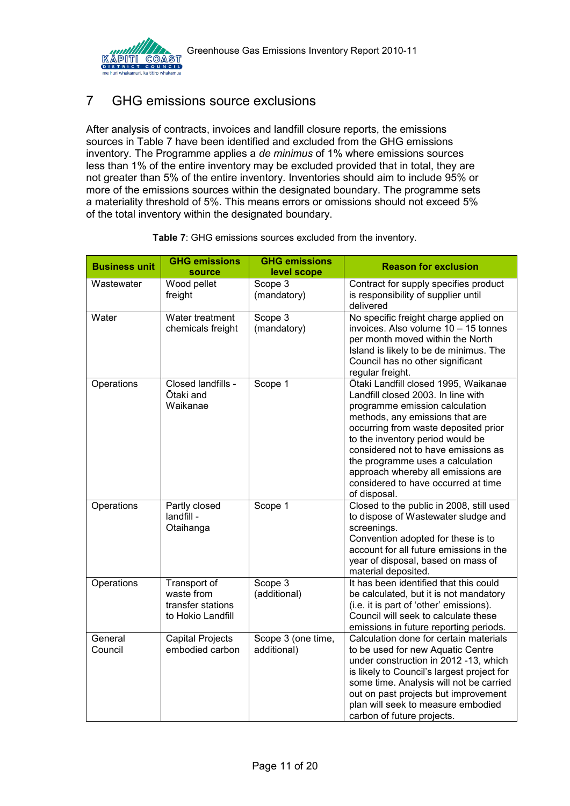

# <span id="page-10-0"></span>7 GHG emissions source exclusions

After analysis of contracts, invoices and landfill closure reports, the emissions sources in [Table 7](#page-10-2) have been identified and excluded from the GHG emissions inventory. The Programme applies a *de minimus* of 1% where emissions sources less than 1% of the entire inventory may be excluded provided that in total, they are not greater than 5% of the entire inventory. Inventories should aim to include 95% or more of the emissions sources within the designated boundary. The programme sets a materiality threshold of 5%. This means errors or omissions should not exceed 5% of the total inventory within the designated boundary.

<span id="page-10-2"></span><span id="page-10-1"></span>

| <b>Business unit</b> | <b>GHG emissions</b><br><b>source</b>                                | <b>GHG emissions</b><br>level scope | <b>Reason for exclusion</b>                                                                                                                                                                                                                                                                                                                                                                         |
|----------------------|----------------------------------------------------------------------|-------------------------------------|-----------------------------------------------------------------------------------------------------------------------------------------------------------------------------------------------------------------------------------------------------------------------------------------------------------------------------------------------------------------------------------------------------|
| Wastewater           | Wood pellet<br>freight                                               | Scope 3<br>(mandatory)              | Contract for supply specifies product<br>is responsibility of supplier until<br>delivered                                                                                                                                                                                                                                                                                                           |
| Water                | Water treatment<br>chemicals freight                                 | Scope 3<br>(mandatory)              | No specific freight charge applied on<br>invoices. Also volume 10 - 15 tonnes<br>per month moved within the North<br>Island is likely to be de minimus. The<br>Council has no other significant<br>regular freight.                                                                                                                                                                                 |
| Operations           | Closed landfills -<br>Ōtaki and<br>Waikanae                          | Scope 1                             | Ōtaki Landfill closed 1995, Waikanae<br>Landfill closed 2003. In line with<br>programme emission calculation<br>methods, any emissions that are<br>occurring from waste deposited prior<br>to the inventory period would be<br>considered not to have emissions as<br>the programme uses a calculation<br>approach whereby all emissions are<br>considered to have occurred at time<br>of disposal. |
| Operations           | Partly closed<br>landfill -<br>Otaihanga                             | Scope 1                             | Closed to the public in 2008, still used<br>to dispose of Wastewater sludge and<br>screenings.<br>Convention adopted for these is to<br>account for all future emissions in the<br>year of disposal, based on mass of<br>material deposited.                                                                                                                                                        |
| Operations           | Transport of<br>waste from<br>transfer stations<br>to Hokio Landfill | Scope 3<br>(additional)             | It has been identified that this could<br>be calculated, but it is not mandatory<br>(i.e. it is part of 'other' emissions).<br>Council will seek to calculate these<br>emissions in future reporting periods.                                                                                                                                                                                       |
| General<br>Council   | <b>Capital Projects</b><br>embodied carbon                           | Scope 3 (one time,<br>additional)   | Calculation done for certain materials<br>to be used for new Aquatic Centre<br>under construction in 2012 -13, which<br>is likely to Council's largest project for<br>some time. Analysis will not be carried<br>out on past projects but improvement<br>plan will seek to measure embodied<br>carbon of future projects.                                                                           |

| Table 7: GHG emissions sources excluded from the inventory. |  |
|-------------------------------------------------------------|--|
|-------------------------------------------------------------|--|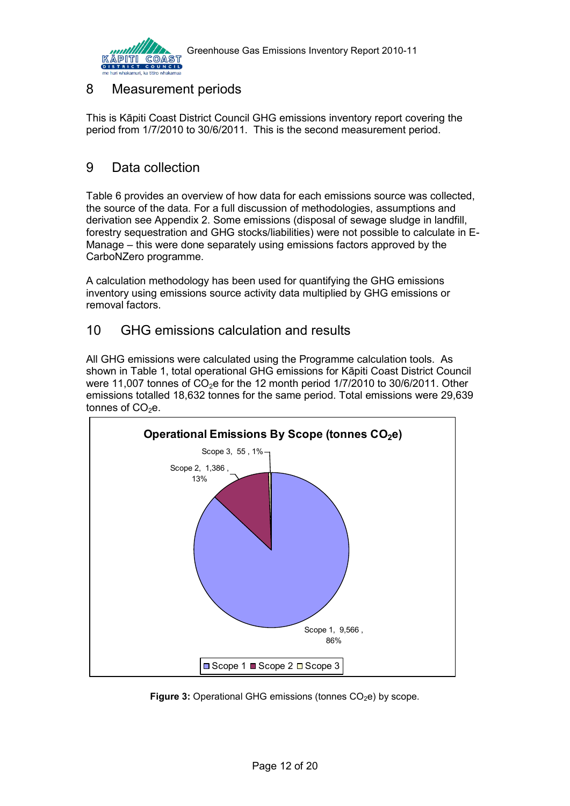

## <span id="page-11-0"></span>8 Measurement periods

This is Kāpiti Coast District Council GHG emissions inventory report covering the period from 1/7/2010 to 30/6/2011. This is the second measurement period.

## <span id="page-11-1"></span>9 Data collection

Table 6 provides an overview of how data for each emissions source was collected, the source of the data. For a full discussion of methodologies, assumptions and derivation see Appendix 2. Some emissions (disposal of sewage sludge in landfill, forestry sequestration and GHG stocks/liabilities) were not possible to calculate in E-Manage – this were done separately using emissions factors approved by the CarboNZero programme.

A calculation methodology has been used for quantifying the GHG emissions inventory using emissions source activity data multiplied by GHG emissions or removal factors.

### <span id="page-11-2"></span>10 GHG emissions calculation and results

All GHG emissions were calculated using the Programme calculation tools. As shown in Table 1, total operational GHG emissions for Kāpiti Coast District Council were 11,007 tonnes of  $CO<sub>2</sub>e$  for the 12 month period 1/7/2010 to 30/6/2011. Other emissions totalled 18,632 tonnes for the same period. Total emissions were 29,639 tonnes of  $CO<sub>2</sub>e$ .



<span id="page-11-3"></span>**Figure 3:** Operational GHG emissions (tonnes CO<sub>2</sub>e) by scope.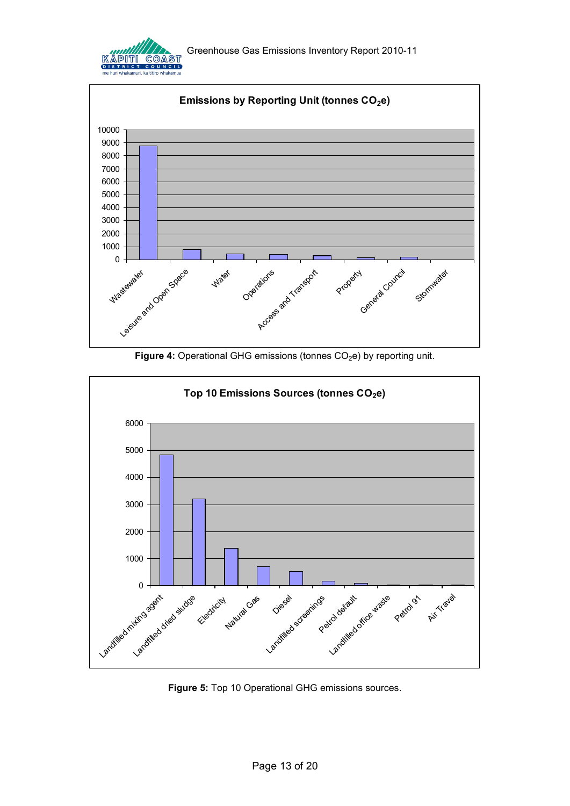





<span id="page-12-0"></span>

<span id="page-12-1"></span>**Figure 5:** Top 10 Operational GHG emissions sources.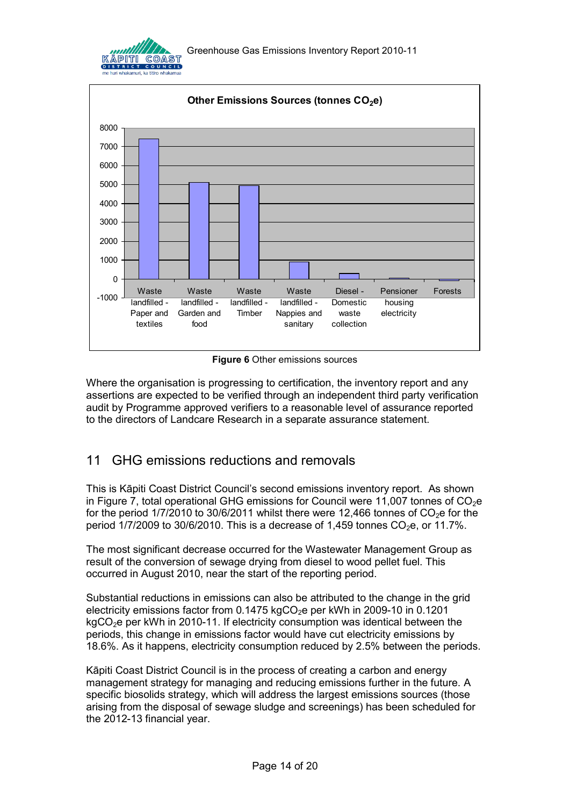



**Figure 6** Other emissions sources

<span id="page-13-1"></span>Where the organisation is progressing to certification, the inventory report and any assertions are expected to be verified through an independent third party verification audit by Programme approved verifiers to a reasonable level of assurance reported to the directors of Landcare Research in a separate assurance statement.

# <span id="page-13-0"></span>11 GHG emissions reductions and removals

This is Kāpiti Coast District Council's second emissions inventory report. As shown in Figure 7, total operational GHG emissions for Council were 11,007 tonnes of  $CO<sub>2</sub>e$ for the period  $1/7/2010$  to 30/6/2011 whilst there were 12,466 tonnes of CO<sub>2</sub>e for the period  $1/7/2009$  to  $30/6/2010$ . This is a decrease of  $1,459$  tonnes CO<sub>2</sub>e, or  $11.7\%$ .

The most significant decrease occurred for the Wastewater Management Group as result of the conversion of sewage drying from diesel to wood pellet fuel. This occurred in August 2010, near the start of the reporting period.

Substantial reductions in emissions can also be attributed to the change in the grid electricity emissions factor from  $0.1475$  kgCO<sub>2</sub>e per kWh in 2009-10 in  $0.1201$  $kgCO<sub>2</sub>e$  per kWh in 2010-11. If electricity consumption was identical between the periods, this change in emissions factor would have cut electricity emissions by 18.6%. As it happens, electricity consumption reduced by 2.5% between the periods.

Kāpiti Coast District Council is in the process of creating a carbon and energy management strategy for managing and reducing emissions further in the future. A specific biosolids strategy, which will address the largest emissions sources (those arising from the disposal of sewage sludge and screenings) has been scheduled for the 2012-13 financial year.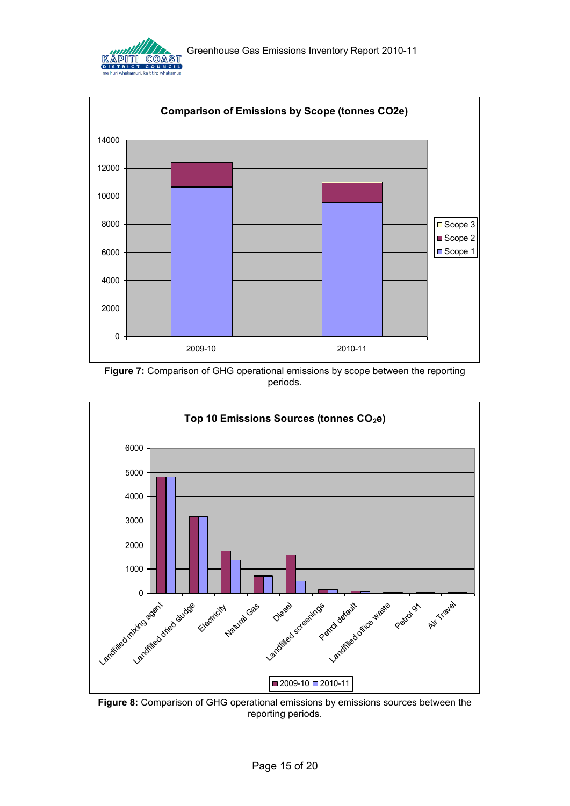



<span id="page-14-0"></span>**Figure 7:** Comparison of GHG operational emissions by scope between the reporting periods.



<span id="page-14-1"></span>**Figure 8:** Comparison of GHG operational emissions by emissions sources between the reporting periods.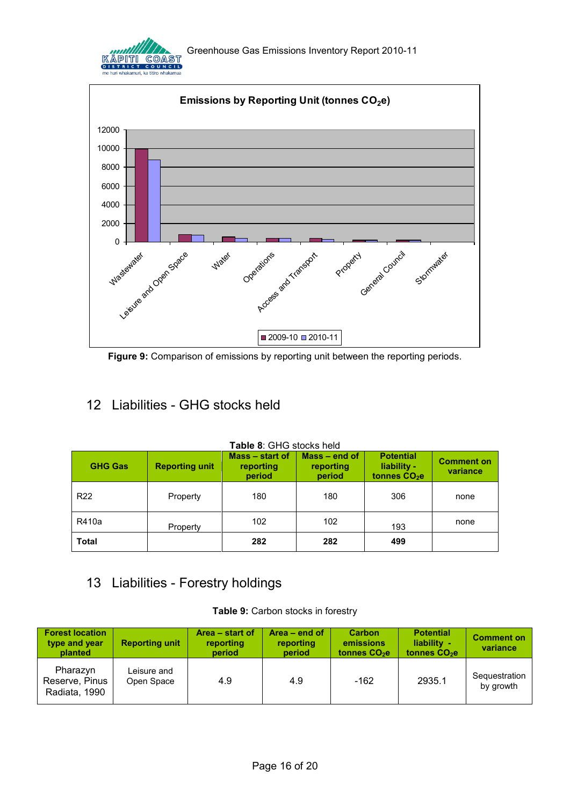



<span id="page-15-2"></span>**Figure 9:** Comparison of emissions by reporting unit between the reporting periods.

# <span id="page-15-0"></span>12 Liabilities - GHG stocks held

<span id="page-15-3"></span>

| <b>GHG Gas</b>  | <b>Reporting unit</b> | Mass – start of<br>reporting<br>period | Mass - end of<br>reporting<br>period | <b>Potential</b><br>liability -<br>tonnes CO <sub>2</sub> e | <b>Comment on</b><br>variance |
|-----------------|-----------------------|----------------------------------------|--------------------------------------|-------------------------------------------------------------|-------------------------------|
| R <sub>22</sub> | Property              | 180                                    | 180                                  | 306                                                         | none                          |
| R410a           | Property              | 102                                    | 102                                  | 193                                                         | none                          |
| Total           |                       | 282                                    | 282                                  | 499                                                         |                               |

#### **Table 8**: GHG stocks held

# <span id="page-15-4"></span><span id="page-15-1"></span>13 Liabilities - Forestry holdings

| Table 9: Carbon stocks in forestry |  |  |
|------------------------------------|--|--|
|                                    |  |  |

| <b>Forest location</b><br>type and year<br>planted | <b>Reporting unit</b>     | Area – start of<br>reporting<br>period | Area $-$ end of<br>reporting<br>period | <b>Carbon</b><br>emissions<br>tonnes $CO2e$ | <b>Potential</b><br>liability -<br>tonnes CO <sub>2</sub> e | <b>Comment on</b><br>variance |
|----------------------------------------------------|---------------------------|----------------------------------------|----------------------------------------|---------------------------------------------|-------------------------------------------------------------|-------------------------------|
| Pharazyn<br>Reserve, Pinus<br>Radiata, 1990        | Leisure and<br>Open Space | 4.9                                    | 4.9                                    | -162                                        | 2935.1                                                      | Sequestration<br>by growth    |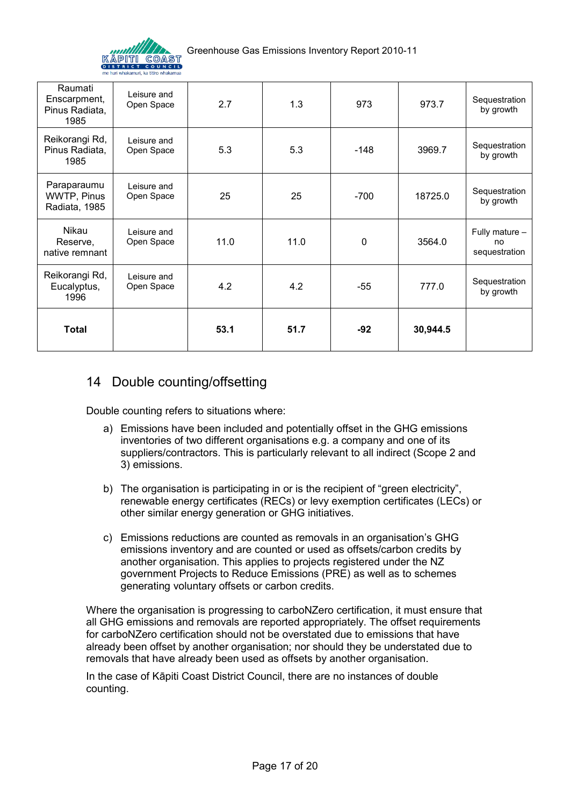

| Raumati<br>Enscarpment,<br>Pinus Radiata,<br>1985 | Leisure and<br>Open Space | 2.7  | 1.3  | 973    | 973.7    | Sequestration<br>by growth            |
|---------------------------------------------------|---------------------------|------|------|--------|----------|---------------------------------------|
| Reikorangi Rd,<br>Pinus Radiata,<br>1985          | Leisure and<br>Open Space | 5.3  | 5.3  | $-148$ | 3969.7   | Sequestration<br>by growth            |
| Paraparaumu<br>WWTP, Pinus<br>Radiata, 1985       | Leisure and<br>Open Space | 25   | 25   | $-700$ | 18725.0  | Sequestration<br>by growth            |
| Nikau<br>Reserve,<br>native remnant               | Leisure and<br>Open Space | 11.0 | 11.0 | 0      | 3564.0   | Fully mature -<br>no<br>sequestration |
| Reikorangi Rd,<br>Eucalyptus,<br>1996             | Leisure and<br>Open Space | 4.2  | 4.2  | $-55$  | 777.0    | Sequestration<br>by growth            |
| Total                                             |                           | 53.1 | 51.7 | $-92$  | 30,944.5 |                                       |

### <span id="page-16-0"></span>14 Double counting/offsetting

Double counting refers to situations where:

- a) Emissions have been included and potentially offset in the GHG emissions inventories of two different organisations e.g. a company and one of its suppliers/contractors. This is particularly relevant to all indirect (Scope 2 and 3) emissions.
- b) The organisation is participating in or is the recipient of "green electricity". renewable energy certificates (RECs) or levy exemption certificates (LECs) or other similar energy generation or GHG initiatives.
- c) Emissions reductions are counted as removals in an organisation's GHG emissions inventory and are counted or used as offsets/carbon credits by another organisation. This applies to projects registered under the NZ government Projects to Reduce Emissions (PRE) as well as to schemes generating voluntary offsets or carbon credits.

Where the organisation is progressing to carboNZero certification, it must ensure that all GHG emissions and removals are reported appropriately. The offset requirements for carboNZero certification should not be overstated due to emissions that have already been offset by another organisation; nor should they be understated due to removals that have already been used as offsets by another organisation.

In the case of Kāpiti Coast District Council, there are no instances of double counting.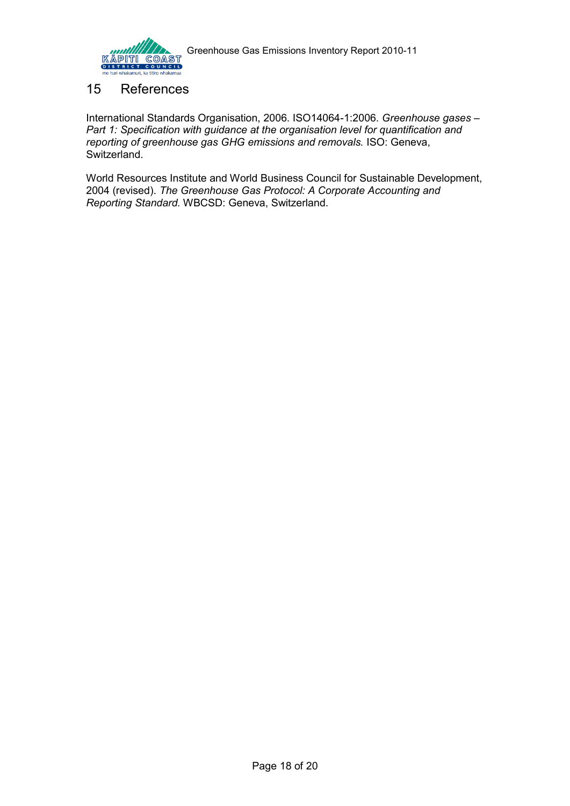

#### <span id="page-17-0"></span>15 References

International Standards Organisation, 2006. ISO14064-1:2006. *Greenhouse gases – Part 1: Specification with guidance at the organisation level for quantification and reporting of greenhouse gas GHG emissions and removals.* ISO: Geneva, Switzerland.

World Resources Institute and World Business Council for Sustainable Development, 2004 (revised). *The Greenhouse Gas Protocol: A Corporate Accounting and Reporting Standard.* WBCSD: Geneva, Switzerland.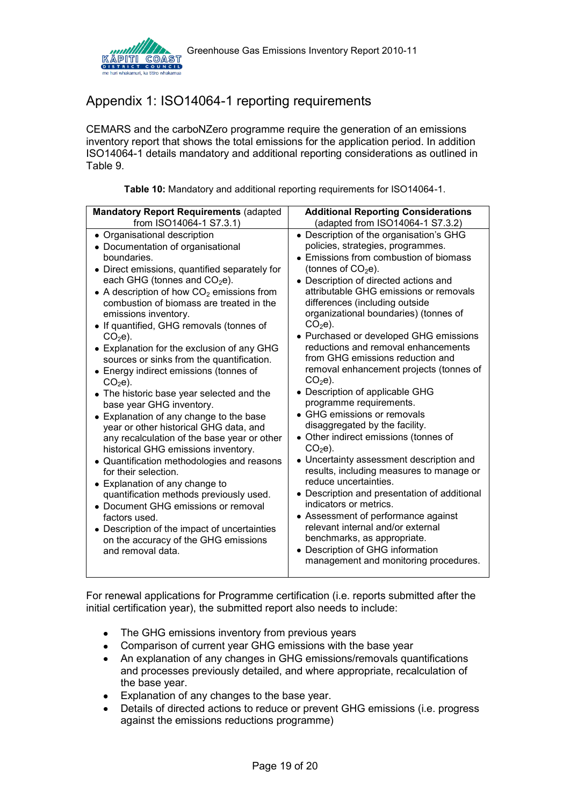

# <span id="page-18-0"></span>Appendix 1: ISO14064-1 reporting requirements

CEMARS and the carboNZero programme require the generation of an emissions inventory report that shows the total emissions for the application period. In addition ISO14064-1 details mandatory and additional reporting considerations as outlined in Table 9.

| Table 10: Mandatory and additional reporting requirements for ISO14064-1. |  |
|---------------------------------------------------------------------------|--|
|---------------------------------------------------------------------------|--|

<span id="page-18-1"></span>

| <b>Mandatory Report Requirements (adapted</b>                                                                                                                                                                                                                                                                                                                                                                                                                                                                                                                                                                                                                                                                                                                                                                                                                                                                                                                                                                                                                                            | <b>Additional Reporting Considerations</b>                                                                                                                                                                                                                                                                                                                                                                                                                                                                                                                                                                                                                                                                                                                                                                                                                                                                                                                                                                                                                                     |
|------------------------------------------------------------------------------------------------------------------------------------------------------------------------------------------------------------------------------------------------------------------------------------------------------------------------------------------------------------------------------------------------------------------------------------------------------------------------------------------------------------------------------------------------------------------------------------------------------------------------------------------------------------------------------------------------------------------------------------------------------------------------------------------------------------------------------------------------------------------------------------------------------------------------------------------------------------------------------------------------------------------------------------------------------------------------------------------|--------------------------------------------------------------------------------------------------------------------------------------------------------------------------------------------------------------------------------------------------------------------------------------------------------------------------------------------------------------------------------------------------------------------------------------------------------------------------------------------------------------------------------------------------------------------------------------------------------------------------------------------------------------------------------------------------------------------------------------------------------------------------------------------------------------------------------------------------------------------------------------------------------------------------------------------------------------------------------------------------------------------------------------------------------------------------------|
| from ISO14064-1 S7.3.1)                                                                                                                                                                                                                                                                                                                                                                                                                                                                                                                                                                                                                                                                                                                                                                                                                                                                                                                                                                                                                                                                  | (adapted from ISO14064-1 S7.3.2)                                                                                                                                                                                                                                                                                                                                                                                                                                                                                                                                                                                                                                                                                                                                                                                                                                                                                                                                                                                                                                               |
| • Organisational description<br>• Documentation of organisational<br>boundaries.<br>• Direct emissions, quantified separately for<br>each GHG (tonnes and $CO2e$ ).<br>• A description of how $CO2$ emissions from<br>combustion of biomass are treated in the<br>emissions inventory.<br>• If quantified, GHG removals (tonnes of<br>$CO2e$ ).<br>• Explanation for the exclusion of any GHG<br>sources or sinks from the quantification.<br>• Energy indirect emissions (tonnes of<br>$CO2e$ ).<br>• The historic base year selected and the<br>base year GHG inventory.<br>• Explanation of any change to the base<br>year or other historical GHG data, and<br>any recalculation of the base year or other<br>historical GHG emissions inventory.<br>• Quantification methodologies and reasons<br>for their selection.<br>• Explanation of any change to<br>quantification methods previously used.<br>• Document GHG emissions or removal<br>factors used.<br>Description of the impact of uncertainties<br>$\bullet$<br>on the accuracy of the GHG emissions<br>and removal data. | • Description of the organisation's GHG<br>policies, strategies, programmes.<br>• Emissions from combustion of biomass<br>(tonnes of $CO2e$ ).<br>• Description of directed actions and<br>attributable GHG emissions or removals<br>differences (including outside<br>organizational boundaries) (tonnes of<br>$CO2e$ ).<br>• Purchased or developed GHG emissions<br>reductions and removal enhancements<br>from GHG emissions reduction and<br>removal enhancement projects (tonnes of<br>$CO2e$ ).<br>• Description of applicable GHG<br>programme requirements.<br>• GHG emissions or removals<br>disaggregated by the facility.<br>• Other indirect emissions (tonnes of<br>$CO2e$ ).<br>• Uncertainty assessment description and<br>results, including measures to manage or<br>reduce uncertainties.<br>• Description and presentation of additional<br>indicators or metrics.<br>• Assessment of performance against<br>relevant internal and/or external<br>benchmarks, as appropriate.<br>• Description of GHG information<br>management and monitoring procedures. |

For renewal applications for Programme certification (i.e. reports submitted after the initial certification year), the submitted report also needs to include:

- The GHG emissions inventory from previous years
- Comparison of current year GHG emissions with the base year
- An explanation of any changes in GHG emissions/removals quantifications and processes previously detailed, and where appropriate, recalculation of the base year.
- Explanation of any changes to the base year.
- Details of directed actions to reduce or prevent GHG emissions (i.e. progress against the emissions reductions programme)